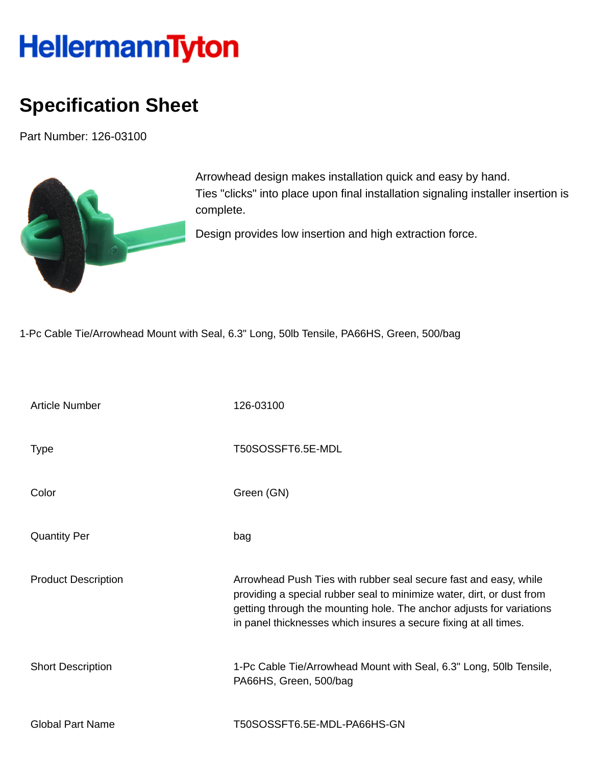## HellermannTyton

## **Specification Sheet**

Part Number: 126-03100



Arrowhead design makes installation quick and easy by hand. Ties "clicks" into place upon final installation signaling installer insertion is complete.

Design provides low insertion and high extraction force.

1-Pc Cable Tie/Arrowhead Mount with Seal, 6.3" Long, 50lb Tensile, PA66HS, Green, 500/bag

| <b>Article Number</b>      | 126-03100                                                                                                                                                                                                                                                                             |
|----------------------------|---------------------------------------------------------------------------------------------------------------------------------------------------------------------------------------------------------------------------------------------------------------------------------------|
| <b>Type</b>                | T50SOSSFT6.5E-MDL                                                                                                                                                                                                                                                                     |
| Color                      | Green (GN)                                                                                                                                                                                                                                                                            |
| <b>Quantity Per</b>        | bag                                                                                                                                                                                                                                                                                   |
| <b>Product Description</b> | Arrowhead Push Ties with rubber seal secure fast and easy, while<br>providing a special rubber seal to minimize water, dirt, or dust from<br>getting through the mounting hole. The anchor adjusts for variations<br>in panel thicknesses which insures a secure fixing at all times. |
| <b>Short Description</b>   | 1-Pc Cable Tie/Arrowhead Mount with Seal, 6.3" Long, 50lb Tensile,<br>PA66HS, Green, 500/bag                                                                                                                                                                                          |
| <b>Global Part Name</b>    | T50SOSSFT6.5E-MDL-PA66HS-GN                                                                                                                                                                                                                                                           |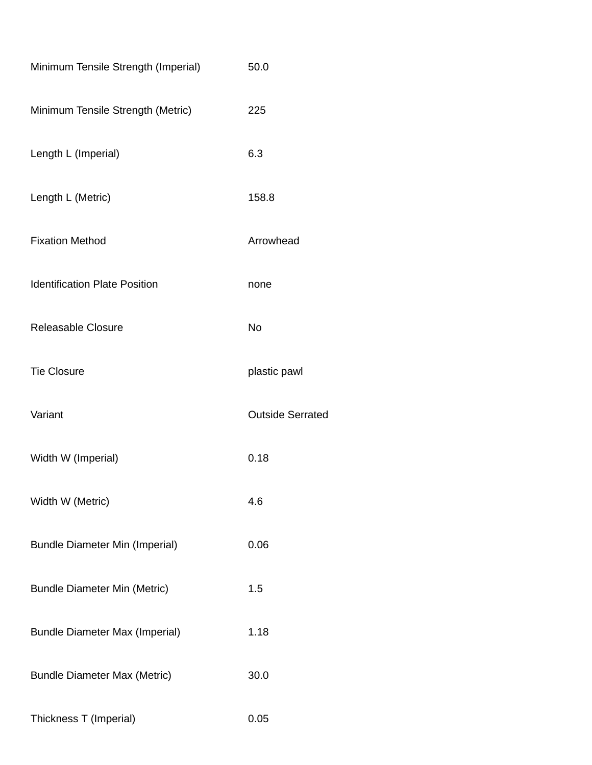| Minimum Tensile Strength (Imperial)   | 50.0                    |
|---------------------------------------|-------------------------|
| Minimum Tensile Strength (Metric)     | 225                     |
| Length L (Imperial)                   | 6.3                     |
| Length L (Metric)                     | 158.8                   |
| <b>Fixation Method</b>                | Arrowhead               |
| <b>Identification Plate Position</b>  | none                    |
| <b>Releasable Closure</b>             | No                      |
| <b>Tie Closure</b>                    | plastic pawl            |
| Variant                               | <b>Outside Serrated</b> |
| Width W (Imperial)                    | 0.18                    |
| Width W (Metric)                      | 4.6                     |
| <b>Bundle Diameter Min (Imperial)</b> | 0.06                    |
| <b>Bundle Diameter Min (Metric)</b>   | 1.5                     |
| <b>Bundle Diameter Max (Imperial)</b> | 1.18                    |
| <b>Bundle Diameter Max (Metric)</b>   | 30.0                    |
| Thickness T (Imperial)                | 0.05                    |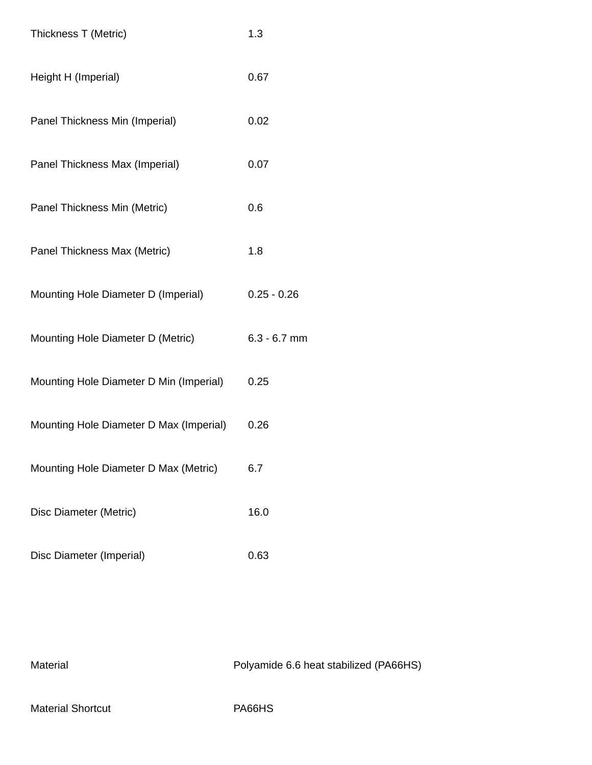| Thickness T (Metric)                    | 1.3            |
|-----------------------------------------|----------------|
| Height H (Imperial)                     | 0.67           |
| Panel Thickness Min (Imperial)          | 0.02           |
| Panel Thickness Max (Imperial)          | 0.07           |
| Panel Thickness Min (Metric)            | 0.6            |
| Panel Thickness Max (Metric)            | 1.8            |
| Mounting Hole Diameter D (Imperial)     | $0.25 - 0.26$  |
| Mounting Hole Diameter D (Metric)       | $6.3 - 6.7$ mm |
| Mounting Hole Diameter D Min (Imperial) | 0.25           |
| Mounting Hole Diameter D Max (Imperial) | 0.26           |
| Mounting Hole Diameter D Max (Metric)   | 6.7            |
| Disc Diameter (Metric)                  | 16.0           |
| Disc Diameter (Imperial)                | 0.63           |

Material Material Polyamide 6.6 heat stabilized (PA66HS) Material Shortcut **PA66HS**